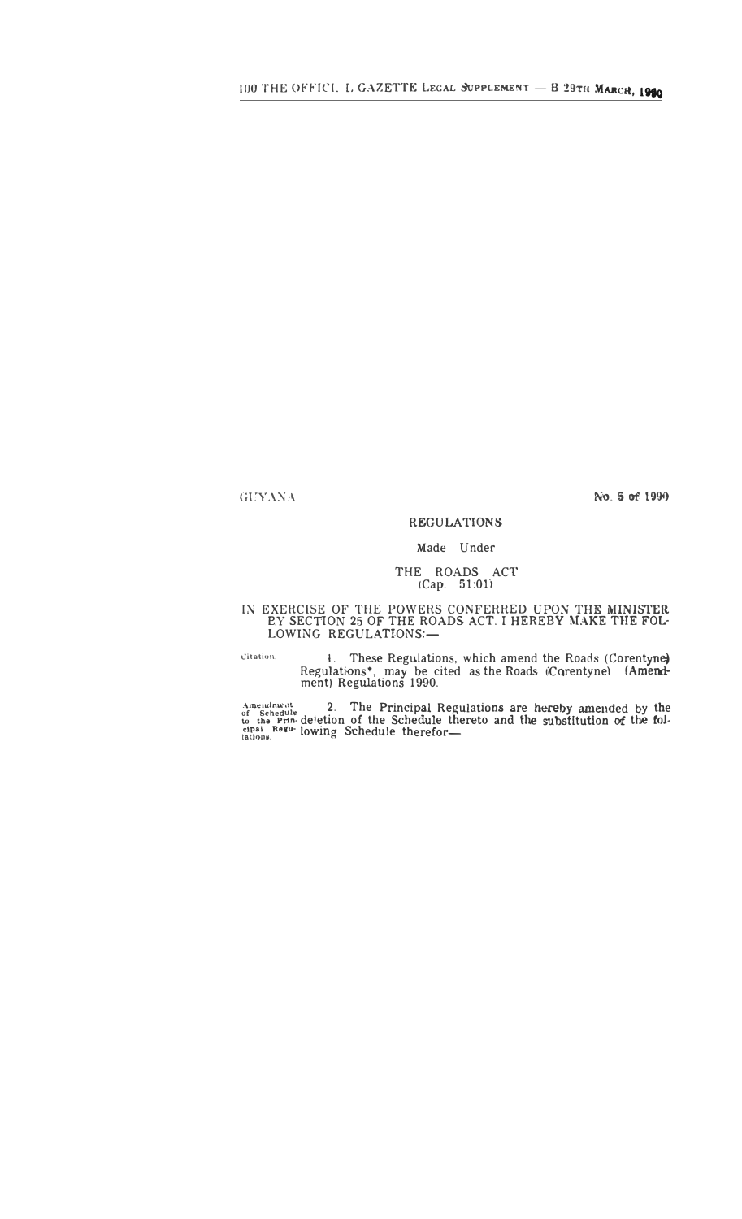**GUYANA** 

### No. 5 of 1990

### **REGULATIONS**

#### Made Under

# THE ROADS ACT (Cap. 51:01)

## IN EXERCISE OF THE POWERS CONFERRED UPON THE MINISTER EY SECTION 25 OF THE ROADS ACT. I HEREBY MAKE THE FOL-LOWING REGULATIONS:-

Citation.

1. These Regulations, which amend the Roads (Corentyne) Regulations\*, may be cited as the Roads (Corentyne) (Amendment) Regulations 1990.

Amendment 2. The Principal Regulations are hereby amended by the to the Principal Regulations are hereby amended by the cheating Regulation of the Schedule thereto and the substitution of the following Schedule therefor—